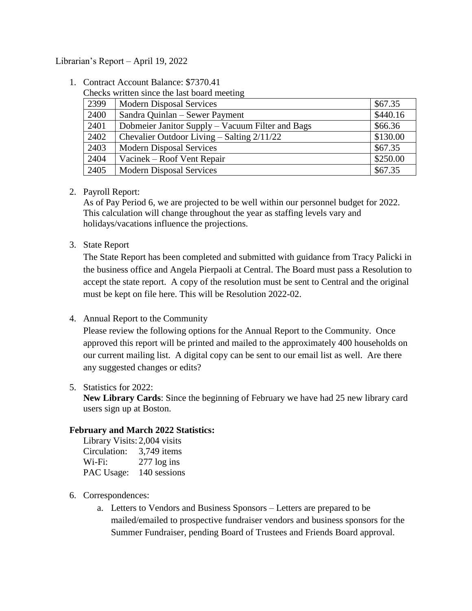### Librarian's Report – April 19, 2022

1. Contract Account Balance: \$7370.41

| Checks written since the last board meeting |      |                                                  |          |  |
|---------------------------------------------|------|--------------------------------------------------|----------|--|
|                                             | 2399 | <b>Modern Disposal Services</b>                  | \$67.35  |  |
|                                             | 2400 | Sandra Quinlan – Sewer Payment                   | \$440.16 |  |
|                                             | 2401 | Dobmeier Janitor Supply – Vacuum Filter and Bags | \$66.36  |  |
|                                             | 2402 | Chevalier Outdoor Living $-$ Salting $2/11/22$   | \$130.00 |  |
|                                             | 2403 | <b>Modern Disposal Services</b>                  | \$67.35  |  |
|                                             | 2404 | Vacinek – Roof Vent Repair                       | \$250.00 |  |
|                                             | 2405 | <b>Modern Disposal Services</b>                  | \$67.35  |  |

### 2. Payroll Report:

As of Pay Period 6, we are projected to be well within our personnel budget for 2022. This calculation will change throughout the year as staffing levels vary and holidays/vacations influence the projections.

### 3. State Report

The State Report has been completed and submitted with guidance from Tracy Palicki in the business office and Angela Pierpaoli at Central. The Board must pass a Resolution to accept the state report. A copy of the resolution must be sent to Central and the original must be kept on file here. This will be Resolution 2022-02.

# 4. Annual Report to the Community

Please review the following options for the Annual Report to the Community. Once approved this report will be printed and mailed to the approximately 400 households on our current mailing list. A digital copy can be sent to our email list as well. Are there any suggested changes or edits?

#### 5. Statistics for 2022:

**New Library Cards**: Since the beginning of February we have had 25 new library card users sign up at Boston.

#### **February and March 2022 Statistics:**

| Library Visits: 2,004 visits |                |
|------------------------------|----------------|
| Circulation:                 | 3,749 items    |
| Wi-Fi:                       | $277 \log$ ins |
| PAC Usage:                   | 140 sessions   |

# 6. Correspondences:

a. Letters to Vendors and Business Sponsors – Letters are prepared to be mailed/emailed to prospective fundraiser vendors and business sponsors for the Summer Fundraiser, pending Board of Trustees and Friends Board approval.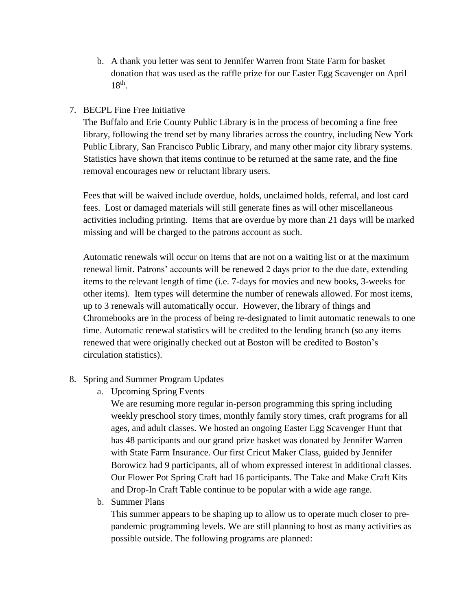b. A thank you letter was sent to Jennifer Warren from State Farm for basket donation that was used as the raffle prize for our Easter Egg Scavenger on April  $18<sup>th</sup>$ .

# 7. BECPL Fine Free Initiative

The Buffalo and Erie County Public Library is in the process of becoming a fine free library, following the trend set by many libraries across the country, including New York Public Library, San Francisco Public Library, and many other major city library systems. Statistics have shown that items continue to be returned at the same rate, and the fine removal encourages new or reluctant library users.

Fees that will be waived include overdue, holds, unclaimed holds, referral, and lost card fees. Lost or damaged materials will still generate fines as will other miscellaneous activities including printing. Items that are overdue by more than 21 days will be marked missing and will be charged to the patrons account as such.

Automatic renewals will occur on items that are not on a waiting list or at the maximum renewal limit. Patrons' accounts will be renewed 2 days prior to the due date, extending items to the relevant length of time (i.e. 7-days for movies and new books, 3-weeks for other items). Item types will determine the number of renewals allowed. For most items, up to 3 renewals will automatically occur. However, the library of things and Chromebooks are in the process of being re-designated to limit automatic renewals to one time. Automatic renewal statistics will be credited to the lending branch (so any items renewed that were originally checked out at Boston will be credited to Boston's circulation statistics).

- 8. Spring and Summer Program Updates
	- a. Upcoming Spring Events

We are resuming more regular in-person programming this spring including weekly preschool story times, monthly family story times, craft programs for all ages, and adult classes. We hosted an ongoing Easter Egg Scavenger Hunt that has 48 participants and our grand prize basket was donated by Jennifer Warren with State Farm Insurance. Our first Cricut Maker Class, guided by Jennifer Borowicz had 9 participants, all of whom expressed interest in additional classes. Our Flower Pot Spring Craft had 16 participants. The Take and Make Craft Kits and Drop-In Craft Table continue to be popular with a wide age range.

b. Summer Plans

This summer appears to be shaping up to allow us to operate much closer to prepandemic programming levels. We are still planning to host as many activities as possible outside. The following programs are planned: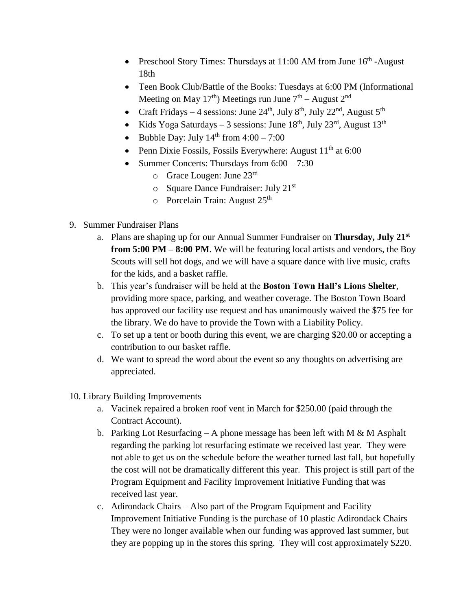- Preschool Story Times: Thursdays at  $11:00$  AM from June  $16<sup>th</sup>$ -August 18th
- Teen Book Club/Battle of the Books: Tuesdays at 6:00 PM (Informational Meeting on May 17<sup>th</sup>) Meetings run June  $7<sup>th</sup>$  – August  $2<sup>nd</sup>$
- Craft Fridays 4 sessions: June 24<sup>th</sup>, July 8<sup>th</sup>, July 22<sup>nd</sup>, August 5<sup>th</sup>
- Kids Yoga Saturdays 3 sessions: June  $18^{th}$ , July  $23^{rd}$ , August  $13^{th}$
- $\bullet$  Bubble Day: July 14<sup>th</sup> from 4:00 7:00
- Penn Dixie Fossils, Fossils Everywhere: August  $11<sup>th</sup>$  at 6:00
- Summer Concerts: Thursdays from  $6:00 7:30$ 
	- $\circ$  Grace Lougen: June 23rd
	- $\circ$  Square Dance Fundraiser: July 21<sup>st</sup>
	- $\circ$  Porcelain Train: August 25<sup>th</sup>
- 9. Summer Fundraiser Plans
	- a. Plans are shaping up for our Annual Summer Fundraiser on **Thursday, July 21st from 5:00 PM – 8:00 PM**. We will be featuring local artists and vendors, the Boy Scouts will sell hot dogs, and we will have a square dance with live music, crafts for the kids, and a basket raffle.
	- b. This year's fundraiser will be held at the **Boston Town Hall's Lions Shelter**, providing more space, parking, and weather coverage. The Boston Town Board has approved our facility use request and has unanimously waived the \$75 fee for the library. We do have to provide the Town with a Liability Policy.
	- c. To set up a tent or booth during this event, we are charging \$20.00 or accepting a contribution to our basket raffle.
	- d. We want to spread the word about the event so any thoughts on advertising are appreciated.
- 10. Library Building Improvements
	- a. Vacinek repaired a broken roof vent in March for \$250.00 (paid through the Contract Account).
	- b. Parking Lot Resurfacing A phone message has been left with M  $\&$  M Asphalt regarding the parking lot resurfacing estimate we received last year. They were not able to get us on the schedule before the weather turned last fall, but hopefully the cost will not be dramatically different this year. This project is still part of the Program Equipment and Facility Improvement Initiative Funding that was received last year.
	- c. Adirondack Chairs Also part of the Program Equipment and Facility Improvement Initiative Funding is the purchase of 10 plastic Adirondack Chairs They were no longer available when our funding was approved last summer, but they are popping up in the stores this spring. They will cost approximately \$220.